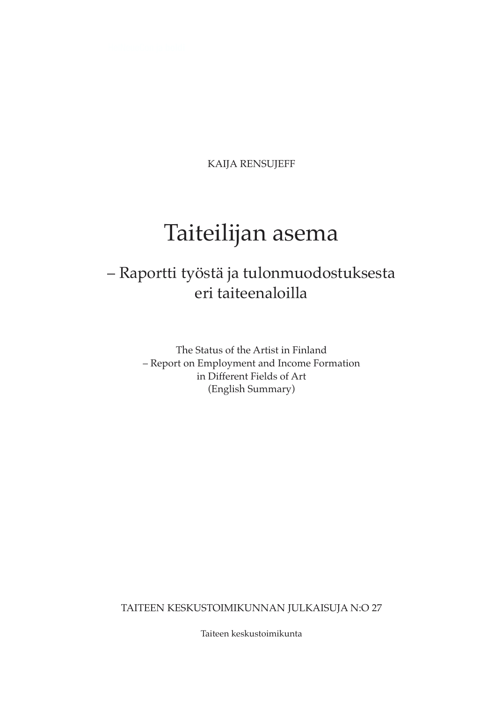KAIJA RENSUJEFF

# Taiteilijan asema

## – Raportti työstä ja tulonmuodostuksesta eri taiteenaloilla

The Status of the Artist in Finland – Report on Employment and Income Formation in Different Fields of Art (English Summary)

TAITEEN KESKUSTOIMIKUNNAN JULKAISUJA N:O 27

Taiteen keskustoimikunta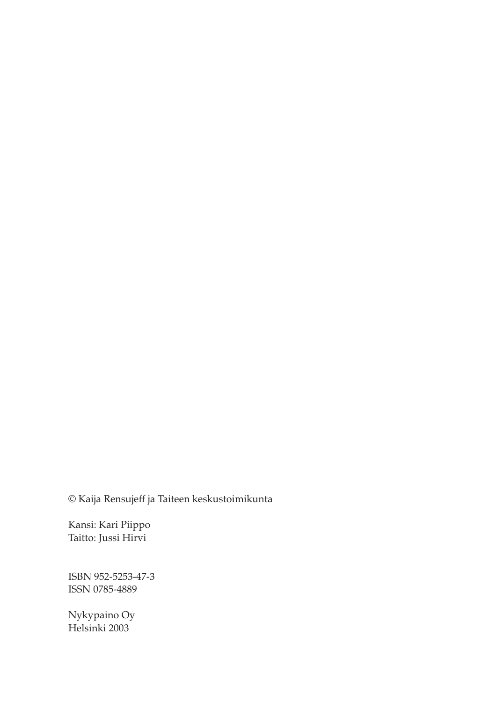© Kaija Rensujeff ja Taiteen keskustoimikunta

Kansi: Kari Piippo Taitto: Jussi Hirvi

ISBN 952-5253-47-3 ISSN 0785-4889

Nykypaino Oy Helsinki 2003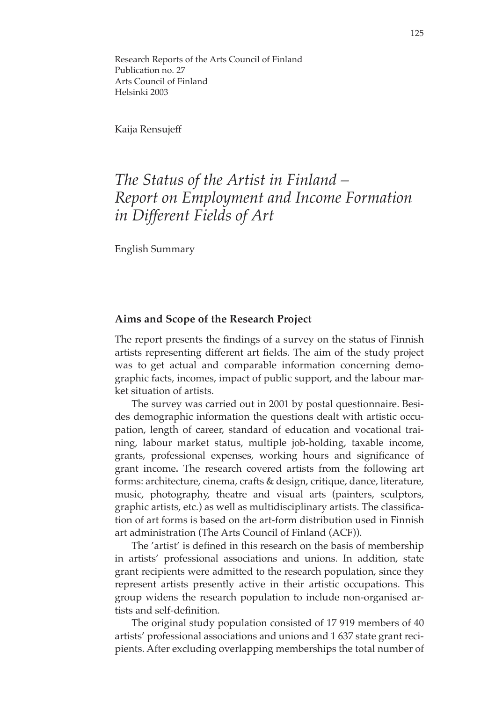Research Reports of the Arts Council of Finland Publication no. 27 Arts Council of Finland Helsinki 2003

Kaija Rensujeff

### *The Status of the Artist in Finland – Report on Employment and Income Formation in Different Fields of Art*

English Summary

#### **Aims and Scope of the Research Project**

The report presents the findings of a survey on the status of Finnish artists representing different art fields. The aim of the study project was to get actual and comparable information concerning demographic facts, incomes, impact of public support, and the labour market situation of artists.

The survey was carried out in 2001 by postal questionnaire. Besides demographic information the questions dealt with artistic occupation, length of career, standard of education and vocational training, labour market status, multiple job-holding, taxable income, grants, professional expenses, working hours and significance of grant income**.** The research covered artists from the following art forms: architecture, cinema, crafts & design, critique, dance, literature, music, photography, theatre and visual arts (painters, sculptors, graphic artists, etc.) as well as multidisciplinary artists. The classification of art forms is based on the art-form distribution used in Finnish art administration (The Arts Council of Finland (ACF)).

The 'artist' is defined in this research on the basis of membership in artists' professional associations and unions. In addition, state grant recipients were admitted to the research population, since they represent artists presently active in their artistic occupations. This group widens the research population to include non-organised artists and self-definition.

The original study population consisted of 17 919 members of 40 artists' professional associations and unions and 1 637 state grant recipients. After excluding overlapping memberships the total number of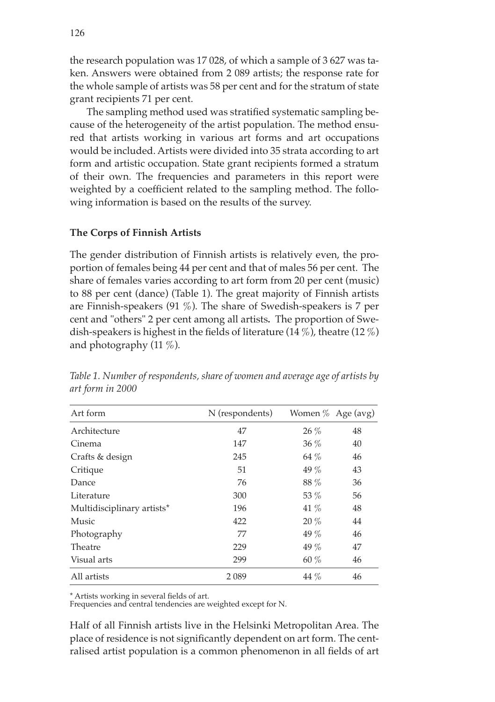the research population was 17 028, of which a sample of 3 627 was taken. Answers were obtained from 2 089 artists; the response rate for the whole sample of artists was 58 per cent and for the stratum of state grant recipients 71 per cent.

The sampling method used was stratified systematic sampling because of the heterogeneity of the artist population. The method ensured that artists working in various art forms and art occupations would be included. Artists were divided into 35 strata according to art form and artistic occupation. State grant recipients formed a stratum of their own. The frequencies and parameters in this report were weighted by a coefficient related to the sampling method. The following information is based on the results of the survey.

#### **The Corps of Finnish Artists**

The gender distribution of Finnish artists is relatively even, the proportion of females being 44 per cent and that of males 56 per cent. The share of females varies according to art form from 20 per cent (music) to 88 per cent (dance) (Table 1). The great majority of Finnish artists are Finnish-speakers (91 %). The share of Swedish-speakers is 7 per cent and "others" 2 per cent among all artists**.** The proportion of Swedish-speakers is highest in the fields of literature  $(14\%)$ , theatre  $(12\%)$ and photography (11 %).

| Art form                   | N (respondents) |        | Women $\%$ Age (avg) |
|----------------------------|-----------------|--------|----------------------|
| Architecture               | 47              | $26\%$ | 48                   |
| Cinema                     | 147             | $36\%$ | 40                   |
| Crafts & design            | 245             | 64 %   | 46                   |
| Critique                   | 51              | 49 %   | 43                   |
| Dance                      | 76              | 88 %   | 36                   |
| Literature                 | 300             | 53 %   | 56                   |
| Multidisciplinary artists* | 196             | $41\%$ | 48                   |
| Music                      | 422             | $20\%$ | 44                   |
| Photography                | 77              | 49 %   | 46                   |
| Theatre                    | 229             | 49 %   | 47                   |
| Visual arts                | 299             | 60 %   | 46                   |
| All artists                | 2089            | 44 %   | 46                   |

*Table 1. Number of respondents, share of women and average age of artists by art form in 2000*

\* Artists working in several fields of art.

Frequencies and central tendencies are weighted except for N.

Half of all Finnish artists live in the Helsinki Metropolitan Area. The place of residence is not significantly dependent on art form. The centralised artist population is a common phenomenon in all fields of art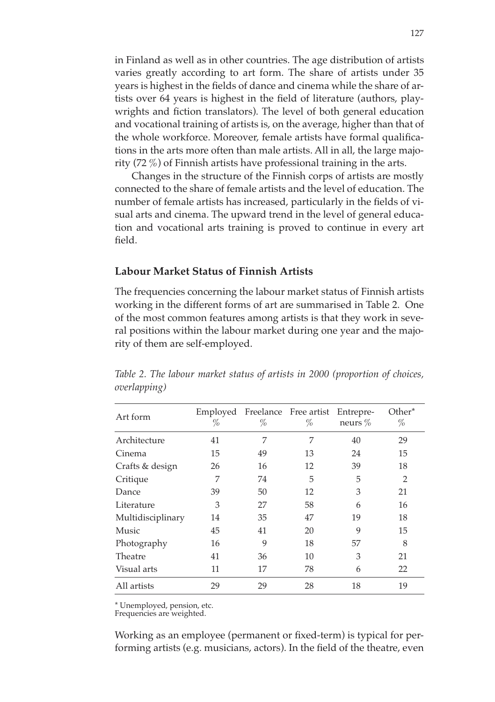in Finland as well as in other countries. The age distribution of artists varies greatly according to art form. The share of artists under 35 years is highest in the fields of dance and cinema while the share of artists over 64 years is highest in the field of literature (authors, playwrights and fiction translators). The level of both general education and vocational training of artists is, on the average, higher than that of the whole workforce. Moreover, female artists have formal qualifications in the arts more often than male artists. All in all, the large majority (72 %) of Finnish artists have professional training in the arts.

Changes in the structure of the Finnish corps of artists are mostly connected to the share of female artists and the level of education. The number of female artists has increased, particularly in the fields of visual arts and cinema. The upward trend in the level of general education and vocational arts training is proved to continue in every art field.

#### **Labour Market Status of Finnish Artists**

The frequencies concerning the labour market status of Finnish artists working in the different forms of art are summarised in Table 2. One of the most common features among artists is that they work in several positions within the labour market during one year and the majority of them are self-employed.

| Art form          | %  | %  | Employed Freelance Free artist<br>$\%$ | Entrepre-<br>neurs $%$ | $Other*$<br>% |
|-------------------|----|----|----------------------------------------|------------------------|---------------|
| Architecture      | 41 | 7  | 7                                      | 40                     | 29            |
| Cinema            | 15 | 49 | 13                                     | 24                     | 15            |
| Crafts & design   | 26 | 16 | 12                                     | 39                     | 18            |
| Critique          | 7  | 74 | 5                                      | 5                      | 2             |
| Dance             | 39 | 50 | 12                                     | 3                      | 21            |
| Literature        | 3  | 27 | 58                                     | 6                      | 16            |
| Multidisciplinary | 14 | 35 | 47                                     | 19                     | 18            |
| Music             | 45 | 41 | 20                                     | 9                      | 15            |
| Photography       | 16 | 9  | 18                                     | 57                     | 8             |
| Theatre           | 41 | 36 | 10                                     | 3                      | 21            |
| Visual arts       | 11 | 17 | 78                                     | 6                      | 22            |
| All artists       | 29 | 29 | 28                                     | 18                     | 19            |

*Table 2. The labour market status of artists in 2000 (proportion of choices, overlapping)*

\* Unemployed, pension, etc.

Frequencies are weighted.

Working as an employee (permanent or fixed-term) is typical for performing artists (e.g. musicians, actors). In the field of the theatre, even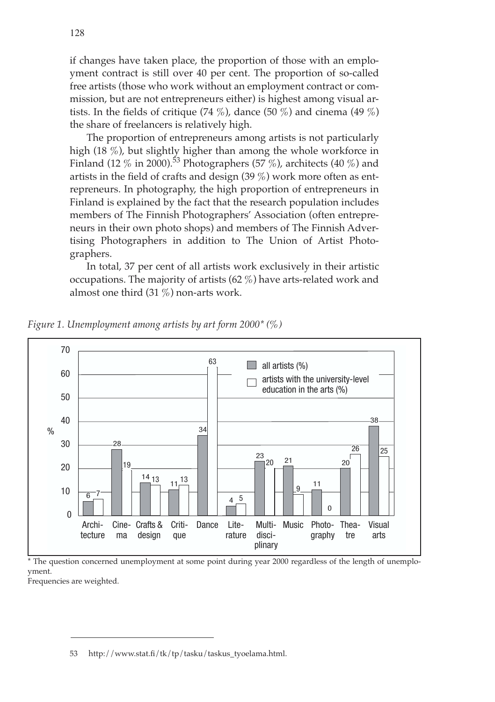if changes have taken place, the proportion of those with an employment contract is still over 40 per cent. The proportion of so-called free artists (those who work without an employment contract or commission, but are not entrepreneurs either) is highest among visual artists. In the fields of critique  $(74\%)$ , dance  $(50\%)$  and cinema  $(49\%)$ the share of freelancers is relatively high.

The proportion of entrepreneurs among artists is not particularly high (18 %), but slightly higher than among the whole workforce in Finland (12  $\%$  in 2000).<sup>53</sup> Photographers (57  $\%$ ), architects (40  $\%$ ) and artists in the field of crafts and design (39 %) work more often as entrepreneurs. In photography, the high proportion of entrepreneurs in Finland is explained by the fact that the research population includes members of The Finnish Photographers' Association (often entrepreneurs in their own photo shops) and members of The Finnish Advertising Photographers in addition to The Union of Artist Photographers.

In total, 37 per cent of all artists work exclusively in their artistic occupations. The majority of artists (62 %) have arts-related work and almost one third (31 %) non-arts work.



*Figure 1. Unemployment among artists by art form 2000\* (%)*

The question concerned unemployment at some point during year 2000 regardless of the length of unemployment.

Frequencies are weighted.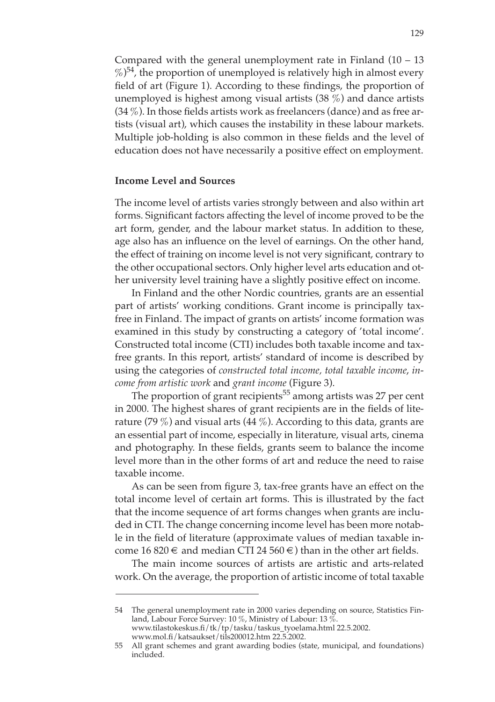Compared with the general unemployment rate in Finland (10 – 13  $\%$ <sup>54</sup>, the proportion of unemployed is relatively high in almost every field of art (Figure 1). According to these findings, the proportion of unemployed is highest among visual artists (38 %) and dance artists  $(34\%)$ . In those fields artists work as freelancers (dance) and as free artists (visual art), which causes the instability in these labour markets. Multiple job-holding is also common in these fields and the level of education does not have necessarily a positive effect on employment.

#### **Income Level and Sources**

The income level of artists varies strongly between and also within art forms. Significant factors affecting the level of income proved to be the art form, gender, and the labour market status. In addition to these, age also has an influence on the level of earnings. On the other hand, the effect of training on income level is not very significant, contrary to the other occupational sectors. Only higher level arts education and other university level training have a slightly positive effect on income.

In Finland and the other Nordic countries, grants are an essential part of artists' working conditions. Grant income is principally taxfree in Finland. The impact of grants on artists' income formation was examined in this study by constructing a category of 'total income'. Constructed total income (CTI) includes both taxable income and taxfree grants. In this report, artists' standard of income is described by using the categories of *constructed total income, total taxable income*, *income from artistic work* and *grant income* (Figure 3).

The proportion of grant recipients<sup>55</sup> among artists was 27 per cent in 2000. The highest shares of grant recipients are in the fields of literature (79  $\%$ ) and visual arts (44  $\%$ ). According to this data, grants are an essential part of income, especially in literature, visual arts, cinema and photography. In these fields, grants seem to balance the income level more than in the other forms of art and reduce the need to raise taxable income.

As can be seen from figure 3, tax-free grants have an effect on the total income level of certain art forms. This is illustrated by the fact that the income sequence of art forms changes when grants are included in CTI. The change concerning income level has been more notable in the field of literature (approximate values of median taxable income 16 820  $\in$  and median CTI 24 560  $\in$ ) than in the other art fields.

The main income sources of artists are artistic and arts-related work. On the average, the proportion of artistic income of total taxable

<sup>54</sup> The general unemployment rate in 2000 varies depending on source, Statistics Finland, Labour Force Survey: 10 %, Ministry of Labour: 13 %. www.tilastokeskus.fi/tk/tp/tasku/taskus\_tyoelama.html 22.5.2002.

www.mol.fi/katsaukset/tils200012.htm 22.5.2002.

<sup>55</sup> All grant schemes and grant awarding bodies (state, municipal, and foundations) included.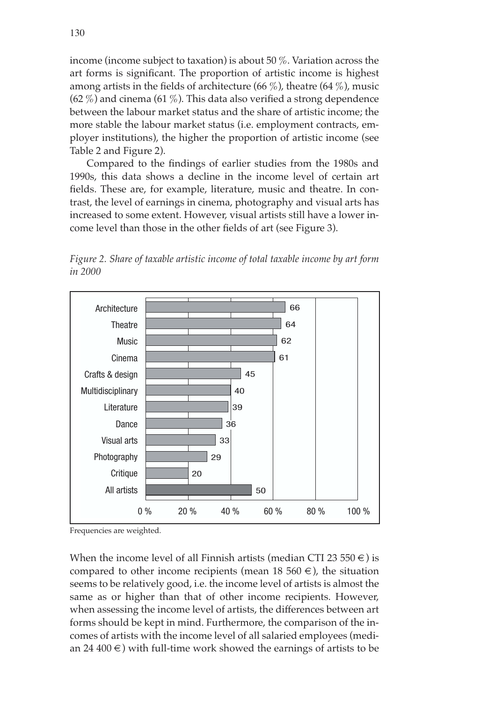income (income subject to taxation) is about 50 %. Variation across the art forms is significant. The proportion of artistic income is highest among artists in the fields of architecture (66  $\%$ ), theatre (64  $\%$ ), music (62 %) and cinema (61 %). This data also verified a strong dependence between the labour market status and the share of artistic income; the more stable the labour market status (i.e. employment contracts, employer institutions), the higher the proportion of artistic income (see Table 2 and Figure 2).

Compared to the findings of earlier studies from the 1980s and 1990s, this data shows a decline in the income level of certain art fields. These are, for example, literature, music and theatre. In contrast, the level of earnings in cinema, photography and visual arts has increased to some extent. However, visual artists still have a lower income level than those in the other fields of art (see Figure 3).

*Figure 2. Share of taxable artistic income of total taxable income by art form in 2000*



Frequencies are weighted.

When the income level of all Finnish artists (median CTI 23 550  $\in$  ) is compared to other income recipients (mean 18 560  $\in$ ), the situation seems to be relatively good, i.e. the income level of artists is almost the same as or higher than that of other income recipients. However, when assessing the income level of artists, the differences between art forms should be kept in mind. Furthermore, the comparison of the incomes of artists with the income level of all salaried employees (median 24 400  $\in$ ) with full-time work showed the earnings of artists to be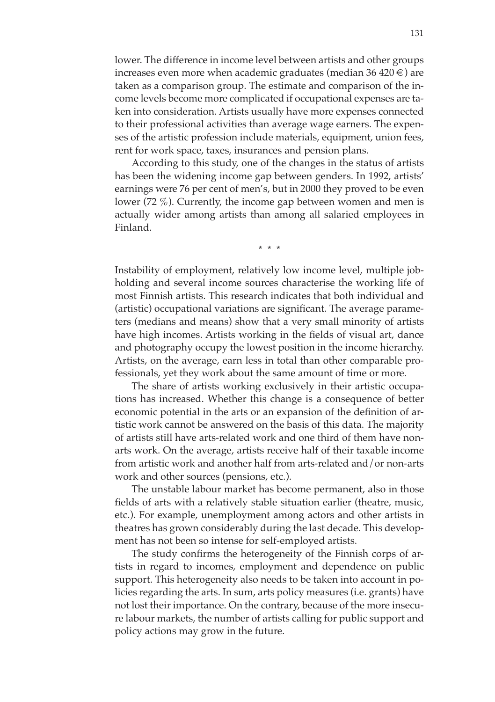lower. The difference in income level between artists and other groups increases even more when academic graduates (median 36 420  $\in$ ) are taken as a comparison group. The estimate and comparison of the income levels become more complicated if occupational expenses are taken into consideration. Artists usually have more expenses connected to their professional activities than average wage earners. The expenses of the artistic profession include materials, equipment, union fees, rent for work space, taxes, insurances and pension plans.

According to this study, one of the changes in the status of artists has been the widening income gap between genders. In 1992, artists' earnings were 76 per cent of men's, but in 2000 they proved to be even lower (72 %). Currently, the income gap between women and men is actually wider among artists than among all salaried employees in Finland.

\* \* \*

Instability of employment, relatively low income level, multiple jobholding and several income sources characterise the working life of most Finnish artists. This research indicates that both individual and (artistic) occupational variations are significant. The average parameters (medians and means) show that a very small minority of artists have high incomes. Artists working in the fields of visual art, dance and photography occupy the lowest position in the income hierarchy. Artists, on the average, earn less in total than other comparable professionals, yet they work about the same amount of time or more.

The share of artists working exclusively in their artistic occupations has increased. Whether this change is a consequence of better economic potential in the arts or an expansion of the definition of artistic work cannot be answered on the basis of this data. The majority of artists still have arts-related work and one third of them have nonarts work. On the average, artists receive half of their taxable income from artistic work and another half from arts-related and/or non-arts work and other sources (pensions, etc.).

The unstable labour market has become permanent, also in those fields of arts with a relatively stable situation earlier (theatre, music, etc.). For example, unemployment among actors and other artists in theatres has grown considerably during the last decade. This development has not been so intense for self-employed artists.

The study confirms the heterogeneity of the Finnish corps of artists in regard to incomes, employment and dependence on public support. This heterogeneity also needs to be taken into account in policies regarding the arts. In sum, arts policy measures (i.e. grants) have not lost their importance. On the contrary, because of the more insecure labour markets, the number of artists calling for public support and policy actions may grow in the future.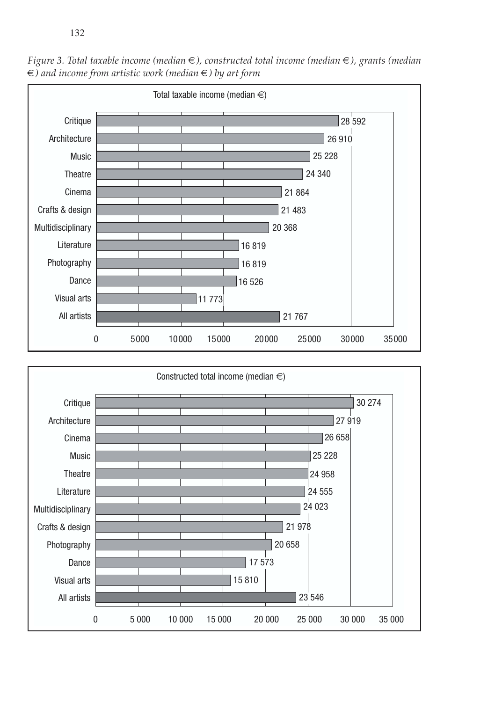

*Figure 3. Total taxable income (median €), constructed total income (median €), grants (median €) and income from artistic work (median €) by art form*

132